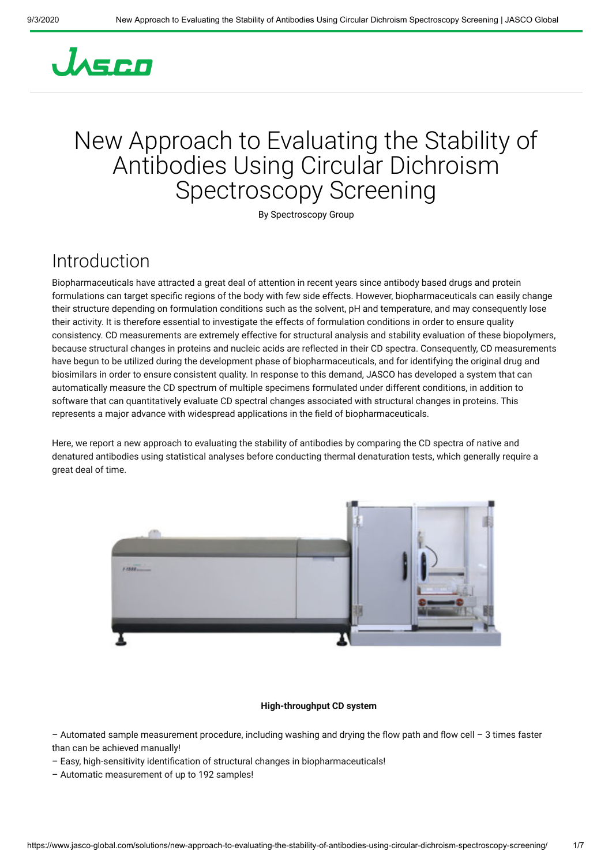# JASCO

## New Approach to Evaluating the Stability of Antibodies Using Circular Dichroism Spectroscopy Screening

By Spectroscopy Group

### Introduction

Biopharmaceuticals have attracted a great deal of attention in recent years since antibody based drugs and protein formulations can target specific regions of the body with few side effects. However, biopharmaceuticals can easily change their structure depending on formulation conditions such as the solvent, pH and temperature, and may consequently lose their activity. It is therefore essential to investigate the effects of formulation conditions in order to ensure quality consistency. CD measurements are extremely effective for structural analysis and stability evaluation of these biopolymers, because structural changes in proteins and nucleic acids are reflected in their CD spectra. Consequently, CD measurements have begun to be utilized during the development phase of biopharmaceuticals, and for identifying the original drug and biosimilars in order to ensure consistent quality. In response to this demand, JASCO has developed a system that can automatically measure the CD spectrum of multiple specimens formulated under different conditions, in addition to software that can quantitatively evaluate CD spectral changes associated with structural changes in proteins. This represents a major advance with widespread applications in the eld of biopharmaceuticals.

Here, we report a new approach to evaluating the stability of antibodies by comparing the CD spectra of native and denatured antibodies using statistical analyses before conducting thermal denaturation tests, which generally require a great deal of time.



#### **High-throughput CD system**

– Automated sample measurement procedure, including washing and drying the flow path and flow cell – 3 times faster than can be achieved manually!

- Easy, high-sensitivity identification of structural changes in biopharmaceuticals!
- Automatic measurement of up to 192 samples!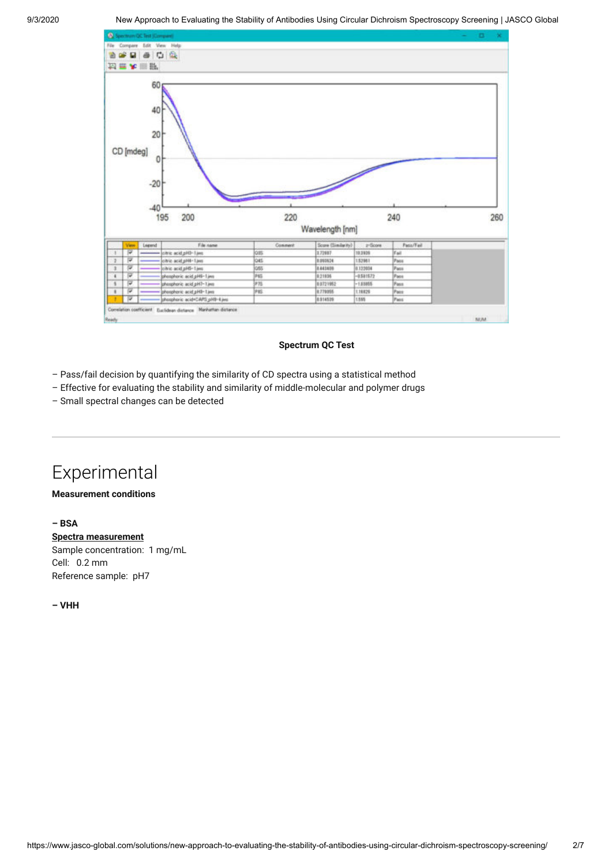

#### **Spectrum QC Test**

- Pass/fail decision by quantifying the similarity of CD spectra using a statistical method
- Effective for evaluating the stability and similarity of middle-molecular and polymer drugs
- Small spectral changes can be detected

### Experimental

#### **Measurement conditions**

#### **– BSA**

**Spectra measurement** Sample concentration: 1 mg/mL Cell: 0.2 mm Reference sample: pH7

**– VHH**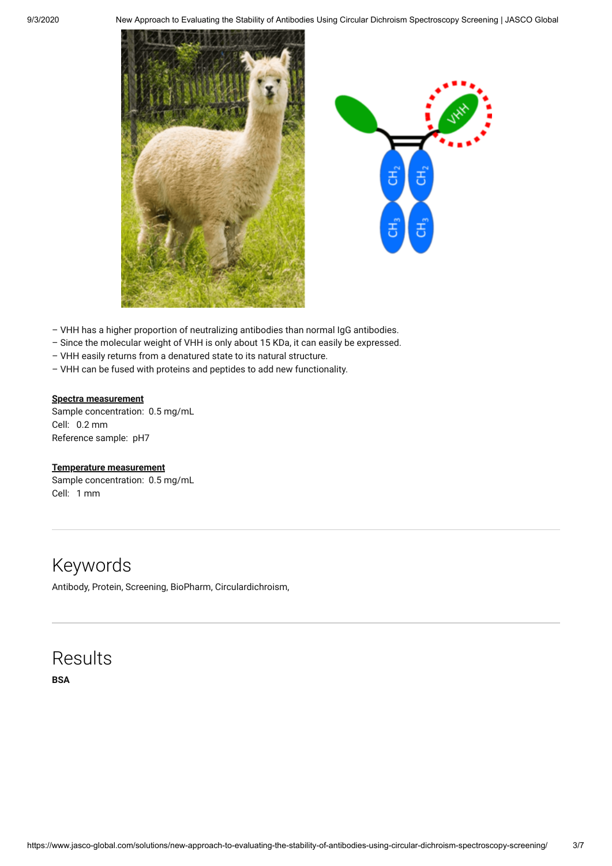



- VHH has a higher proportion of neutralizing antibodies than normal IgG antibodies.
- Since the molecular weight of VHH is only about 15 KDa, it can easily be expressed.
- VHH easily returns from a denatured state to its natural structure.
- VHH can be fused with proteins and peptides to add new functionality.

#### **Spectra measurement**

Sample concentration: 0.5 mg/mL Cell: 0.2 mm Reference sample: pH7

#### **Temperature measurement**

Sample concentration: 0.5 mg/mL Cell: 1 mm

### Keywords

Antibody, Protein, Screening, BioPharm, Circulardichroism,

### Results

**BSA**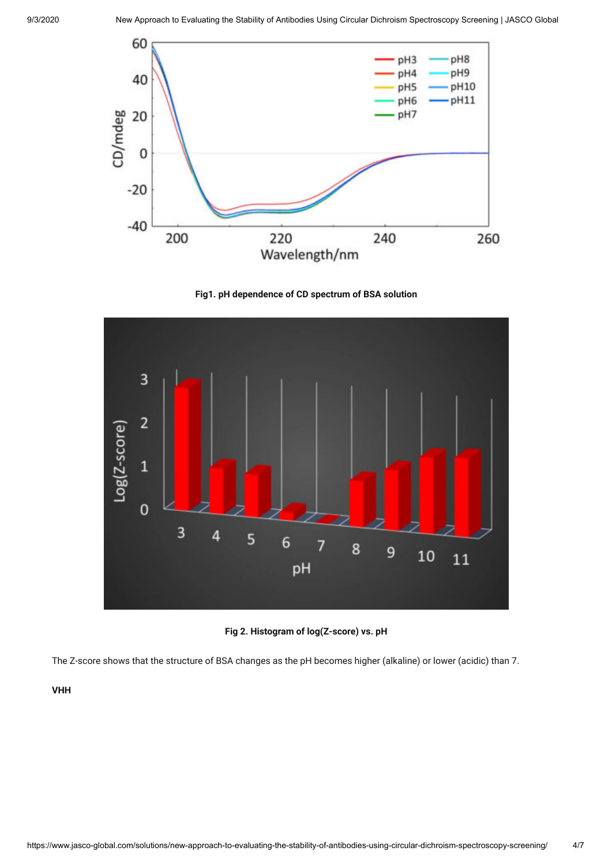





**Fig 2. Histogram of log(Z-score) vs. pH**

The Z-score shows that the structure of BSA changes as the pH becomes higher (alkaline) or lower (acidic) than 7.

**VHH**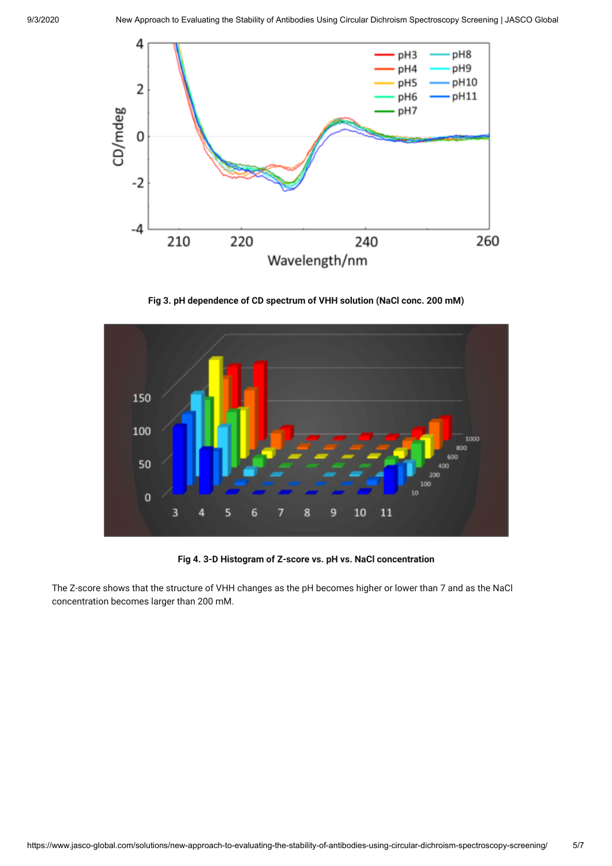

**Fig 3. pH dependence of CD spectrum of VHH solution (NaCl conc. 200 mM)**



**Fig 4. 3-D Histogram of Z-score vs. pH vs. NaCl concentration**

The Z-score shows that the structure of VHH changes as the pH becomes higher or lower than 7 and as the NaCl concentration becomes larger than 200 mM.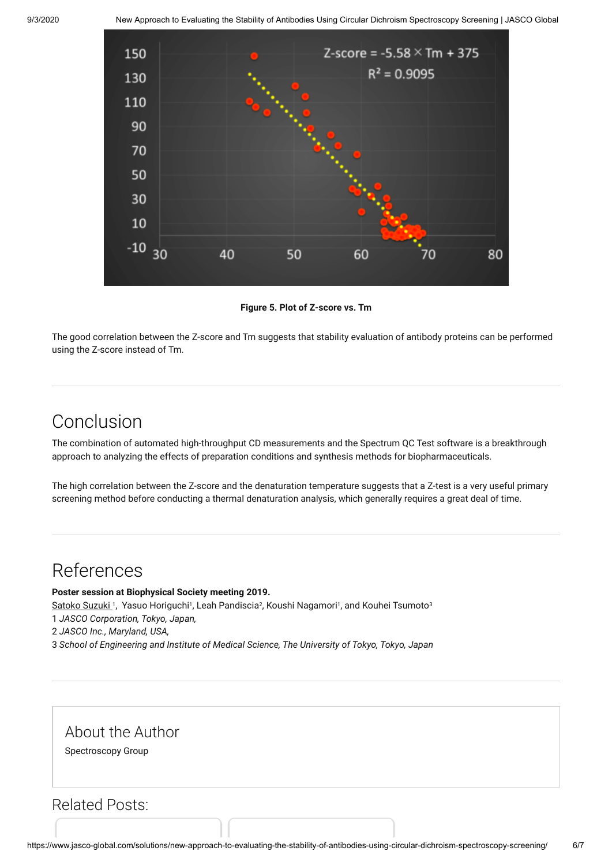

**Figure 5. Plot of Z-score vs. Tm**

The good correlation between the Z-score and Tm suggests that stability evaluation of antibody proteins can be performed using the Z-score instead of Tm.

### Conclusion

The combination of automated high-throughput CD measurements and the Spectrum QC Test software is a breakthrough approach to analyzing the effects of preparation conditions and synthesis methods for biopharmaceuticals.

The high correlation between the Z-score and the denaturation temperature suggests that a Z-test is a very useful primary screening method before conducting a thermal denaturation analysis, which generally requires a great deal of time.

### References

**Poster session at Biophysical Society meeting 2019.**

Satoko Suzuki 1, Yasuo Horiguchi1, Leah Pandiscia<sup>2</sup>, Koushi Nagamori1, and Kouhei Tsumoto<sup>3</sup>

1 *JASCO Corporation, Tokyo, Japan,* 

2 *JASCO Inc., Maryland, USA,* 

3 *School of Engineering and Institute of Medical Science, The University of Tokyo, Tokyo, Japan*

About the Author

Spectroscopy Group

Related Posts: